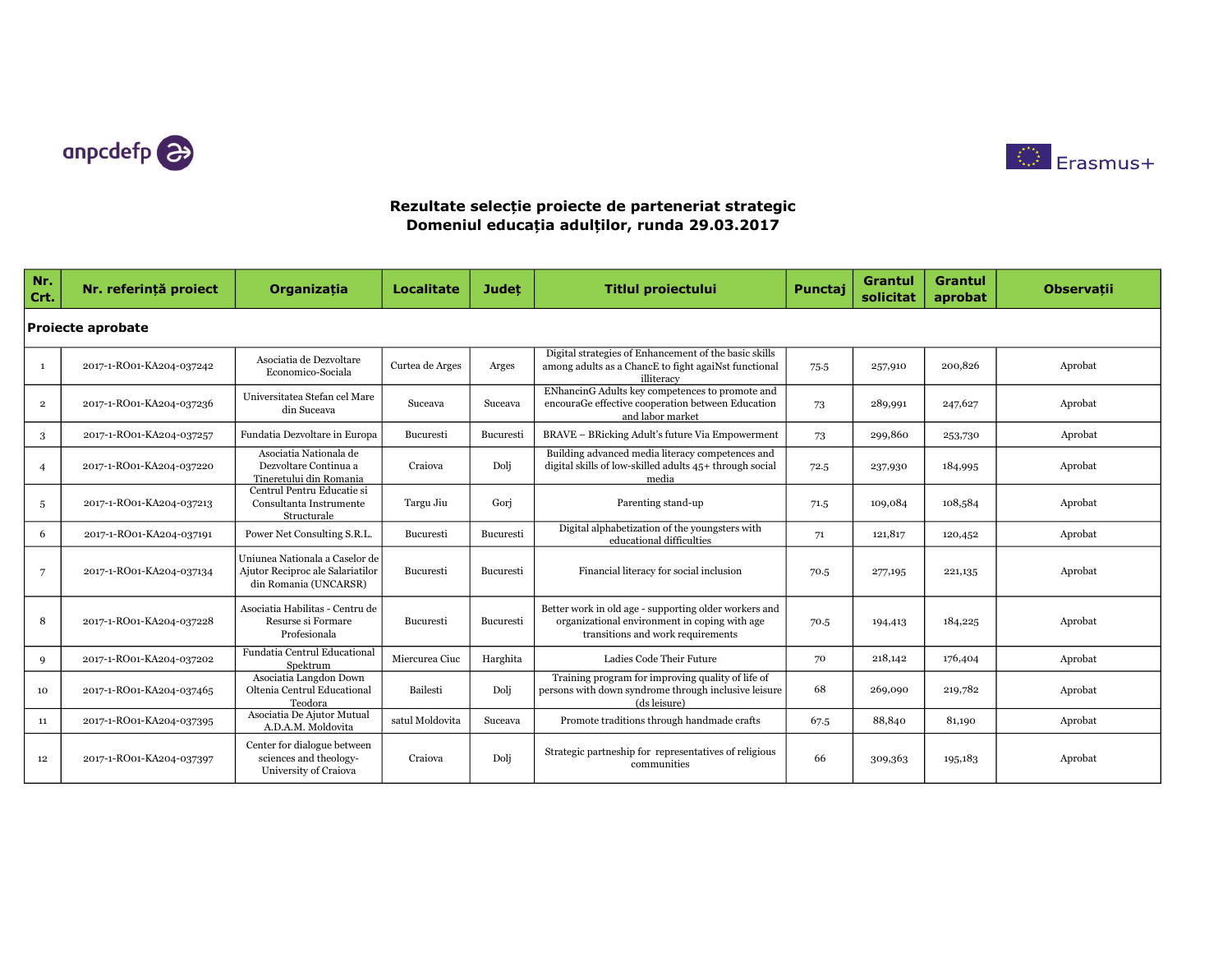



| Nr.<br>Crt.    | Nr. referință proiect    | Organizația                                                                                 | <b>Localitate</b> | <b>Judet</b> | <b>Titlul proiectului</b>                                                                                                                   | Punctaj | Grantul<br>solicitat | <b>Grantul</b><br>aprobat | <b>Observatii</b> |  |  |  |
|----------------|--------------------------|---------------------------------------------------------------------------------------------|-------------------|--------------|---------------------------------------------------------------------------------------------------------------------------------------------|---------|----------------------|---------------------------|-------------------|--|--|--|
|                | <b>Projecte aprobate</b> |                                                                                             |                   |              |                                                                                                                                             |         |                      |                           |                   |  |  |  |
| $\mathbf{1}$   | 2017-1-RO01-KA204-037242 | Asociatia de Dezvoltare<br>Economico-Sociala                                                | Curtea de Arges   | Arges        | Digital strategies of Enhancement of the basic skills<br>among adults as a ChancE to fight agaiNst functional<br>illiteracy                 | 75.5    | 257,910              | 200,826                   | Aprobat           |  |  |  |
| $\overline{2}$ | 2017-1-RO01-KA204-037236 | Universitatea Stefan cel Mare<br>din Suceava                                                | Suceava           | Suceava      | ENhancinG Adults key competences to promote and<br>encouraGe effective cooperation between Education<br>and labor market                    | 73      | 289,991              | 247,627                   | Aprobat           |  |  |  |
| 3              | 2017-1-RO01-KA204-037257 | Fundatia Dezvoltare in Europa                                                               | Bucuresti         | Bucuresti    | <b>BRAVE - BRicking Adult's future Via Empowerment</b>                                                                                      | 73      | 299,860              | 253,730                   | Aprobat           |  |  |  |
| $\overline{4}$ | 2017-1-RO01-KA204-037220 | Asociatia Nationala de<br>Dezvoltare Continua a<br>Tineretului din Romania                  | Craiova           | Dolj         | Building advanced media literacy competences and<br>digital skills of low-skilled adults 45+ through social<br>media                        | 72.5    | 237,930              | 184,995                   | Aprobat           |  |  |  |
| $\overline{5}$ | 2017-1-RO01-KA204-037213 | Centrul Pentru Educatie si<br>Consultanta Instrumente<br>Structurale                        | Targu Jiu         | Gori         | Parenting stand-up                                                                                                                          | 71.5    | 109,084              | 108,584                   | Aprobat           |  |  |  |
| 6              | 2017-1-RO01-KA204-037191 | Power Net Consulting S.R.L.                                                                 | Bucuresti         | Bucuresti    | Digital alphabetization of the youngsters with<br>educational difficulties                                                                  | 71      | 121,817              | 120,452                   | Aprobat           |  |  |  |
| $\overline{7}$ | 2017-1-RO01-KA204-037134 | Uniunea Nationala a Caselor de<br>Ajutor Reciproc ale Salariatilor<br>din Romania (UNCARSR) | Bucuresti         | Bucuresti    | Financial literacy for social inclusion                                                                                                     | 70.5    | 277,195              | 221,135                   | Aprobat           |  |  |  |
| 8              | 2017-1-RO01-KA204-037228 | Asociatia Habilitas - Centru de<br>Resurse si Formare<br>Profesionala                       | Bucuresti         | Bucuresti    | Better work in old age - supporting older workers and<br>organizational environment in coping with age<br>transitions and work requirements | 70.5    | 194,413              | 184,225                   | Aprobat           |  |  |  |
| 9              | 2017-1-RO01-KA204-037202 | Fundatia Centrul Educational<br>Spektrum                                                    | Miercurea Ciuc    | Harghita     | Ladies Code Their Future                                                                                                                    | 70      | 218,142              | 176,404                   | Aprobat           |  |  |  |
| 10             | 2017-1-RO01-KA204-037465 | Asociatia Langdon Down<br>Oltenia Centrul Educational<br>Teodora                            | Bailesti          | Dolj         | Training program for improving quality of life of<br>persons with down syndrome through inclusive leisure<br>(ds leisure)                   | 68      | 269,090              | 219,782                   | Aprobat           |  |  |  |
| 11             | 2017-1-RO01-KA204-037395 | Asociatia De Ajutor Mutual<br>A.D.A.M. Moldovita                                            | satul Moldovita   | Suceava      | Promote traditions through handmade crafts                                                                                                  | 67.5    | 88,840               | 81,190                    | Aprobat           |  |  |  |
| 12             | 2017-1-RO01-KA204-037397 | Center for dialogue between<br>sciences and theology-<br>University of Craiova              | Craiova           | Dolj         | Strategic partneship for representatives of religious<br>communities                                                                        | 66      | 309,363              | 195,183                   | Aprobat           |  |  |  |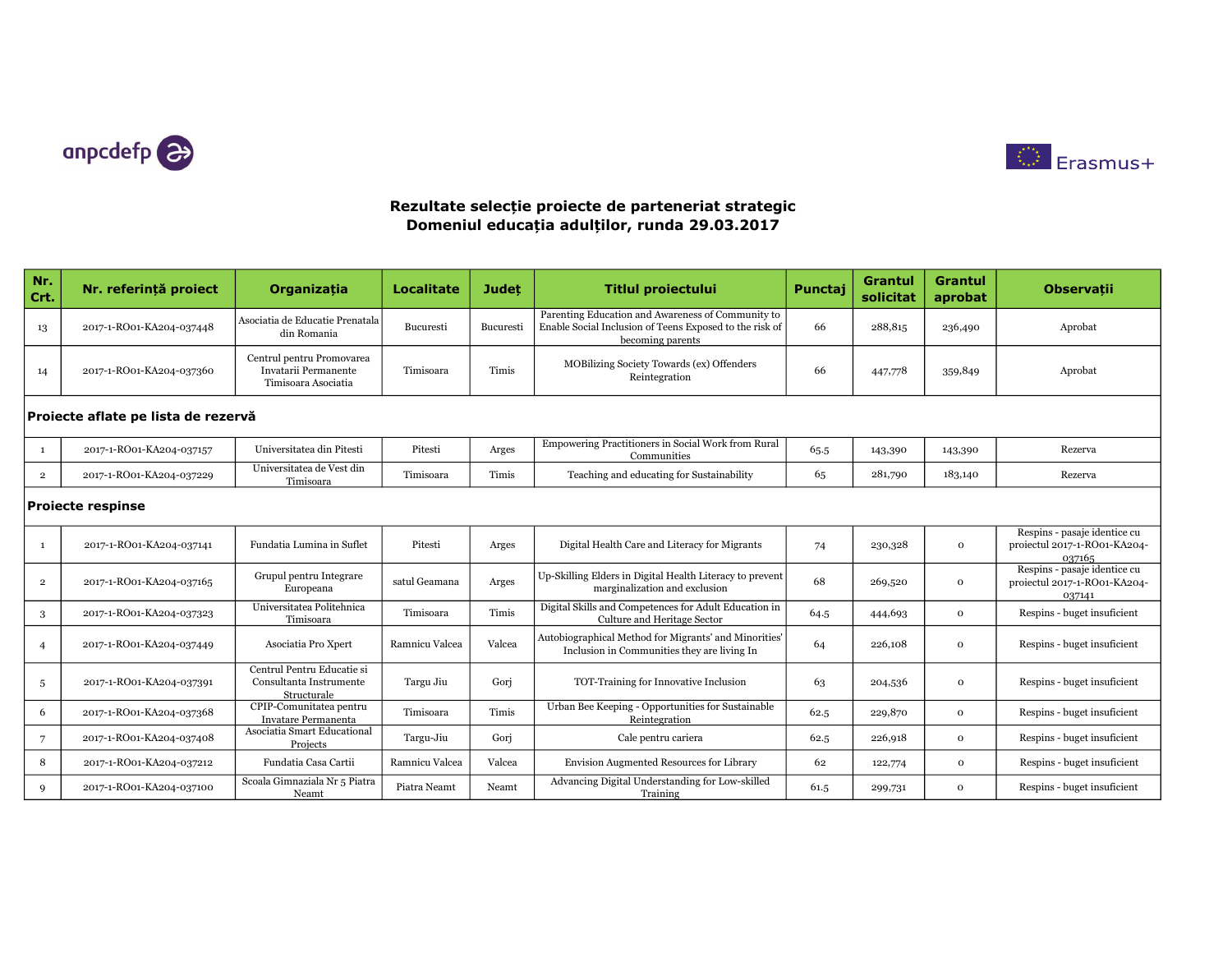



| Nr.<br>Crt.                         | Nr. referintă proiect    | <b>Organizatia</b>                                                       | <b>Localitate</b> | <b>Judet</b>     | <b>Titlul proiectului</b>                                                                                                        | Punctaj | <b>Grantul</b><br>solicitat | <b>Grantul</b><br>aprobat | <b>Observatii</b>                                                      |  |
|-------------------------------------|--------------------------|--------------------------------------------------------------------------|-------------------|------------------|----------------------------------------------------------------------------------------------------------------------------------|---------|-----------------------------|---------------------------|------------------------------------------------------------------------|--|
| 13                                  | 2017-1-RO01-KA204-037448 | Asociatia de Educatie Prenatala<br>din Romania                           | Bucuresti         | <b>Bucuresti</b> | Parenting Education and Awareness of Community to<br>Enable Social Inclusion of Teens Exposed to the risk of<br>becoming parents | 66      | 288,815                     | 236,490                   | Aprobat                                                                |  |
| 14                                  | 2017-1-RO01-KA204-037360 | Centrul pentru Promovarea<br>Invatarii Permanente<br>Timisoara Asociatia | Timisoara         | Timis            | MOBilizing Society Towards (ex) Offenders<br>Reintegration                                                                       | 66      | 447,778                     | 359,849                   | Aprobat                                                                |  |
| Proiecte aflate pe lista de rezervă |                          |                                                                          |                   |                  |                                                                                                                                  |         |                             |                           |                                                                        |  |
| 1                                   | 2017-1-RO01-KA204-037157 | Universitatea din Pitesti                                                | Pitesti           | Arges            | Empowering Practitioners in Social Work from Rural<br>Communities                                                                | 65.5    | 143,390                     | 143,390                   | Rezerva                                                                |  |
| $\mathbf{2}$                        | 2017-1-RO01-KA204-037229 | Universitatea de Vest din<br>Timisoara                                   | Timisoara         | Timis            | Teaching and educating for Sustainability                                                                                        | 65      | 281,790                     | 183,140                   | Rezerva                                                                |  |
| <b>Proiecte respinse</b>            |                          |                                                                          |                   |                  |                                                                                                                                  |         |                             |                           |                                                                        |  |
| $\mathbf{1}$                        | 2017-1-RO01-KA204-037141 | Fundatia Lumina in Suflet                                                | Pitesti           | Arges            | Digital Health Care and Literacy for Migrants                                                                                    | 74      | 230,328                     | $\mathbf 0$               | Respins - pasaje identice cu<br>proiectul 2017-1-RO01-KA204-<br>037165 |  |
| $\overline{2}$                      | 2017-1-RO01-KA204-037165 | Grupul pentru Integrare<br>Europeana                                     | satul Geamana     | Arges            | Up-Skilling Elders in Digital Health Literacy to prevent<br>marginalization and exclusion                                        | 68      | 269,520                     | $\mathbf{o}$              | Respins - pasaje identice cu<br>proiectul 2017-1-RO01-KA204-<br>037141 |  |
| 3                                   | 2017-1-RO01-KA204-037323 | Universitatea Politehnica<br>Timisoara                                   | Timisoara         | Timis            | Digital Skills and Competences for Adult Education in<br>Culture and Heritage Sector                                             | 64.5    | 444,693                     | $\mathbf{O}$              | Respins - buget insuficient                                            |  |
| $\overline{4}$                      | 2017-1-RO01-KA204-037449 | Asociatia Pro Xpert                                                      | Ramnicu Valcea    | Valcea           | Autobiographical Method for Migrants' and Minorities'<br>Inclusion in Communities they are living In                             | 64      | 226,108                     | $\mathbf{O}$              | Respins - buget insuficient                                            |  |
| 5                                   | 2017-1-RO01-KA204-037391 | Centrul Pentru Educatie si<br>Consultanta Instrumente<br>Structurale     | Targu Jiu         | Gori             | TOT-Training for Innovative Inclusion                                                                                            | 63      | 204,536                     | 0                         | Respins - buget insuficient                                            |  |
| 6                                   | 2017-1-RO01-KA204-037368 | CPIP-Comunitatea pentru<br>Invatare Permanenta                           | Timisoara         | Timis            | Urban Bee Keeping - Opportunities for Sustainable<br>Reintegration                                                               | 62.5    | 229,870                     | $\Omega$                  | Respins - buget insuficient                                            |  |
| $\overline{7}$                      | 2017-1-RO01-KA204-037408 | Asociatia Smart Educational<br>Projects                                  | Targu-Jiu         | Gori             | Cale pentru cariera                                                                                                              | 62.5    | 226,918                     | $\mathbf{o}$              | Respins - buget insuficient                                            |  |
| 8                                   | 2017-1-RO01-KA204-037212 | Fundatia Casa Cartii                                                     | Ramnicu Valcea    | Valcea           | Envision Augmented Resources for Library                                                                                         | 62      | 122,774                     | $\mathbf{O}$              | Respins - buget insuficient                                            |  |
| 9                                   | 2017-1-RO01-KA204-037100 | Scoala Gimnaziala Nr 5 Piatra<br>Neamt                                   | Piatra Neamt      | Neamt            | Advancing Digital Understanding for Low-skilled<br>Training                                                                      | 61.5    | 299,731                     | 0                         | Respins - buget insuficient                                            |  |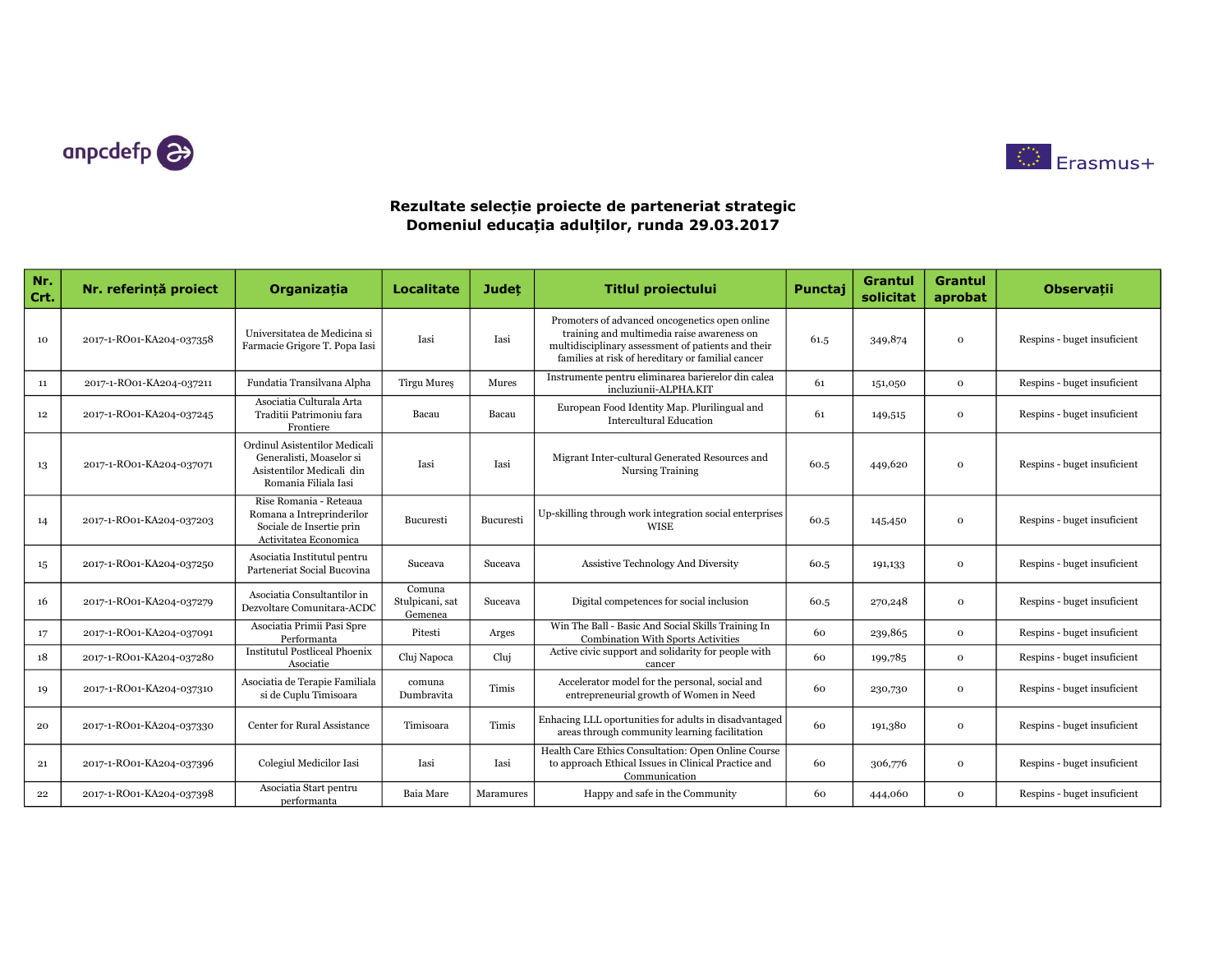



| Nr.<br>Crt. | Nr. referintă proiect    | Organizatia                                                                                                    | <b>Localitate</b>                    | <b>Judet</b> | <b>Titlul proiectului</b>                                                                                                                                                                               | Punctai | <b>Grantul</b><br>solicitat | <b>Grantul</b><br>aprobat | <b>Observatii</b>           |
|-------------|--------------------------|----------------------------------------------------------------------------------------------------------------|--------------------------------------|--------------|---------------------------------------------------------------------------------------------------------------------------------------------------------------------------------------------------------|---------|-----------------------------|---------------------------|-----------------------------|
| 10          | 2017-1-RO01-KA204-037358 | Universitatea de Medicina si<br>Farmacie Grigore T. Popa Iasi                                                  | Iasi                                 | Iasi         | Promoters of advanced oncogenetics open online<br>training and multimedia raise awareness on<br>multidisciplinary assessment of patients and their<br>families at risk of hereditary or familial cancer | 61.5    | 349,874                     | $\Omega$                  | Respins - buget insuficient |
| 11          | 2017-1-RO01-KA204-037211 | Fundatia Transilvana Alpha                                                                                     | Tirgu Mures                          | Mures        | Instrumente pentru eliminarea barierelor din calea<br>incluziunii-ALPHA.KIT                                                                                                                             | 61      | 151,050                     | $\mathbf{o}$              | Respins - buget insuficient |
| 12          | 2017-1-RO01-KA204-037245 | Asociatia Culturala Arta<br>Traditii Patrimoniu fara<br>Frontiere                                              | Bacau                                | Bacau        | European Food Identity Map. Plurilingual and<br><b>Intercultural Education</b>                                                                                                                          | 61      | 149,515                     | $\mathbf 0$               | Respins - buget insuficient |
| 13          | 2017-1-RO01-KA204-037071 | Ordinul Asistentilor Medicali<br>Generalisti, Moaselor si<br>Asistentilor Medicali din<br>Romania Filiala Iasi | Iasi                                 | Iasi         | Migrant Inter-cultural Generated Resources and<br><b>Nursing Training</b>                                                                                                                               | 60.5    | 449,620                     | $\Omega$                  | Respins - buget insuficient |
| 14          | 2017-1-RO01-KA204-037203 | Rise Romania - Reteaua<br>Romana a Intreprinderilor<br>Sociale de Insertie prin<br>Activitatea Economica       | Bucuresti                            | Bucuresti    | Up-skilling through work integration social enterprises<br><b>WISE</b>                                                                                                                                  | 60.5    | 145,450                     | $\Omega$                  | Respins - buget insuficient |
| 15          | 2017-1-RO01-KA204-037250 | Asociatia Institutul pentru<br>Parteneriat Social Bucovina                                                     | Suceava                              | Suceava      | <b>Assistive Technology And Diversity</b>                                                                                                                                                               | 60.5    | 191,133                     | $\mathbf{0}$              | Respins - buget insuficient |
| 16          | 2017-1-RO01-KA204-037279 | Asociatia Consultantilor in<br>Dezvoltare Comunitara-ACDC                                                      | Comuna<br>Stulpicani, sat<br>Gemenea | Suceava      | Digital competences for social inclusion                                                                                                                                                                | 60.5    | 270,248                     | $\mathbf{o}$              | Respins - buget insuficient |
| 17          | 2017-1-RO01-KA204-037091 | Asociatia Primii Pasi Spre<br>Performanta                                                                      | Pitesti                              | Arges        | Win The Ball - Basic And Social Skills Training In<br><b>Combination With Sports Activities</b>                                                                                                         | 60      | 239,865                     | $\mathbf{o}$              | Respins - buget insuficient |
| 18          | 2017-1-RO01-KA204-037280 | <b>Institutul Postliceal Phoenix</b><br>Asociatie                                                              | Cluj Napoca                          | Clui         | Active civic support and solidarity for people with<br>cancer                                                                                                                                           | 60      | 199,785                     | $\mathbf{o}$              | Respins - buget insuficient |
| 19          | 2017-1-RO01-KA204-037310 | Asociatia de Terapie Familiala<br>si de Cuplu Timisoara                                                        | comuna<br>Dumbravita                 | Timis        | Accelerator model for the personal, social and<br>entrepreneurial growth of Women in Need                                                                                                               | 60      | 230,730                     | $\Omega$                  | Respins - buget insuficient |
| 20          | 2017-1-RO01-KA204-037330 | <b>Center for Rural Assistance</b>                                                                             | Timisoara                            | Timis        | Enhacing LLL oportunities for adults in disadvantaged<br>areas through community learning facilitation                                                                                                  | 60      | 191,380                     | $\Omega$                  | Respins - buget insuficient |
| 21          | 2017-1-RO01-KA204-037396 | Colegiul Medicilor Iasi                                                                                        | Iasi                                 | Iasi         | Health Care Ethics Consultation: Open Online Course<br>to approach Ethical Issues in Clinical Practice and<br>Communication                                                                             | 60      | 306,776                     | $\Omega$                  | Respins - buget insuficient |
| 22          | 2017-1-RO01-KA204-037398 | Asociatia Start pentru<br>performanta                                                                          | <b>Baia Mare</b>                     | Maramures    | Happy and safe in the Community                                                                                                                                                                         | 60      | 444,060                     | $\mathbf{o}$              | Respins - buget insuficient |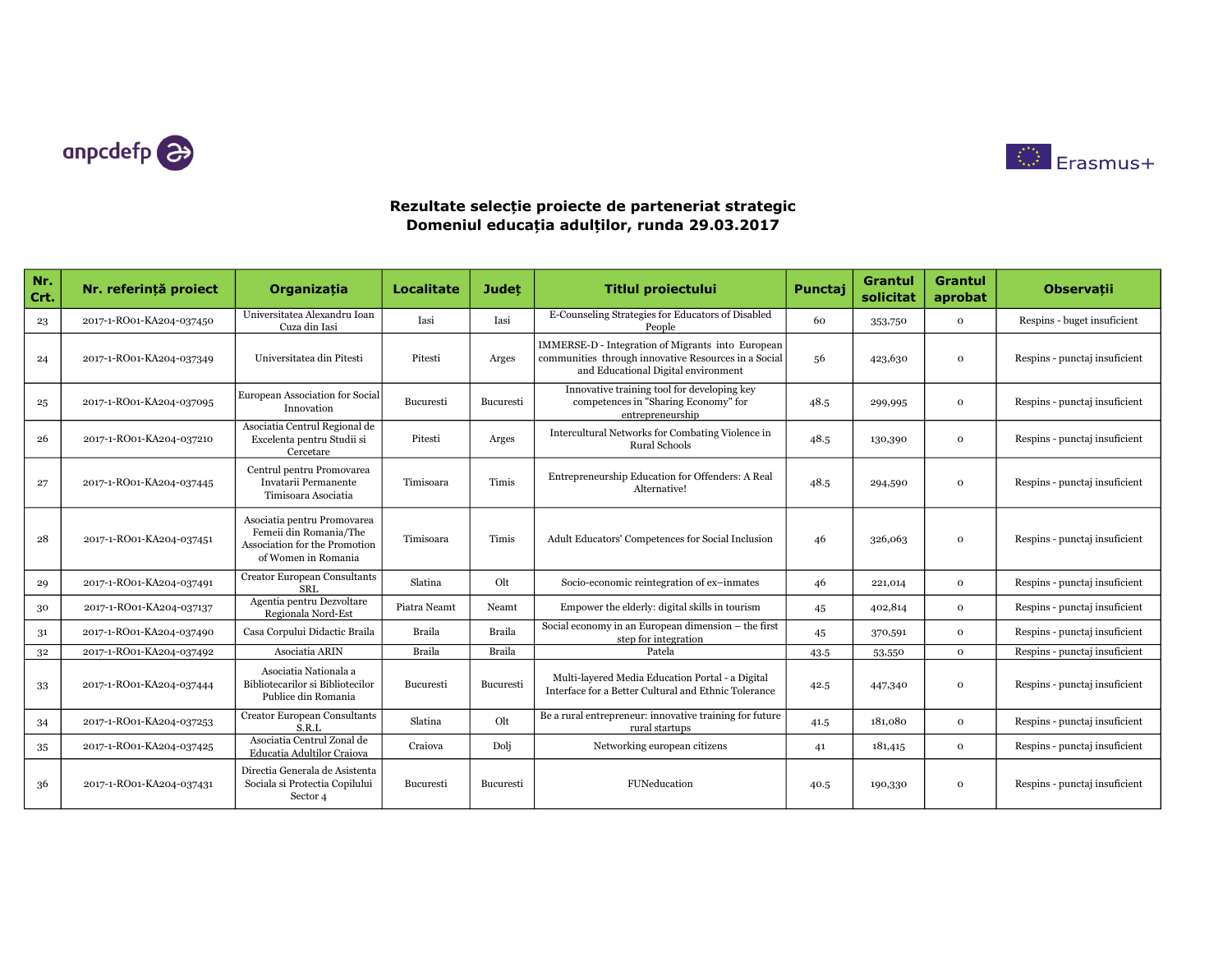



| Nr.<br>Crt. | Nr. referință proiect    | Organizatia                                                                                                   | <b>Localitate</b> | <b>Judet</b>     | <b>Titlul proiectului</b>                                                                                                                        | Punctaj | <b>Grantul</b><br>solicitat | <b>Grantul</b><br>aprobat | <b>Observații</b>             |
|-------------|--------------------------|---------------------------------------------------------------------------------------------------------------|-------------------|------------------|--------------------------------------------------------------------------------------------------------------------------------------------------|---------|-----------------------------|---------------------------|-------------------------------|
| 23          | 2017-1-RO01-KA204-037450 | Universitatea Alexandru Ioan<br>Cuza din Iasi                                                                 | Iasi              | Iasi             | E-Counseling Strategies for Educators of Disabled<br>People                                                                                      | 60      | 353,750                     | $\mathbf 0$               | Respins - buget insuficient   |
| 24          | 2017-1-RO01-KA204-037349 | Universitatea din Pitesti                                                                                     | Pitesti           | Arges            | IMMERSE-D - Integration of Migrants into European<br>communities through innovative Resources in a Social<br>and Educational Digital environment | 56      | 423,630                     | $\mathbf 0$               | Respins - punctaj insuficient |
| 25          | 2017-1-RO01-KA204-037095 | European Association for Social<br>Innovation                                                                 | Bucuresti         | Bucuresti        | Innovative training tool for developing key<br>competences in "Sharing Economy" for<br>entrepreneurship                                          | 48.5    | 299,995                     | $\Omega$                  | Respins - punctaj insuficient |
| 26          | 2017-1-RO01-KA204-037210 | Asociatia Centrul Regional de<br>Excelenta pentru Studii si<br>Cercetare                                      | Pitesti           | Arges            | Intercultural Networks for Combating Violence in<br><b>Rural Schools</b>                                                                         | 48.5    | 130,390                     | $\Omega$                  | Respins - punctaj insuficient |
| 27          | 2017-1-RO01-KA204-037445 | Centrul pentru Promovarea<br>Invatarii Permanente<br>Timisoara Asociatia                                      | Timisoara         | Timis            | Entrepreneurship Education for Offenders: A Real<br>Alternative!                                                                                 | 48.5    | 294,590                     | $\Omega$                  | Respins - punctaj insuficient |
| 28          | 2017-1-RO01-KA204-037451 | Asociatia pentru Promovarea<br>Femeii din Romania/The<br>Association for the Promotion<br>of Women in Romania | Timisoara         | Timis            | Adult Educators' Competences for Social Inclusion                                                                                                | 46      | 326,063                     | $\mathbf 0$               | Respins - punctaj insuficient |
| 29          | 2017-1-RO01-KA204-037491 | Creator European Consultants<br><b>SRL</b>                                                                    | Slatina           | Olt              | Socio-economic reintegration of ex-inmates                                                                                                       | 46      | 221,014                     | $\mathbf{o}$              | Respins - punctaj insuficient |
| 30          | 2017-1-RO01-KA204-037137 | Agentia pentru Dezvoltare<br>Regionala Nord-Est                                                               | Piatra Neamt      | Neamt            | Empower the elderly: digital skills in tourism                                                                                                   | 45      | 402,814                     | $\Omega$                  | Respins - punctaj insuficient |
| 31          | 2017-1-RO01-KA204-037490 | Casa Corpului Didactic Braila                                                                                 | Braila            | Braila           | Social economy in an European dimension - the first<br>step for integration                                                                      | 45      | 370,591                     | $\mathbf 0$               | Respins - punctaj insuficient |
| 32          | 2017-1-RO01-KA204-037492 | Asociatia ARIN                                                                                                | Braila            | <b>Braila</b>    | Patela                                                                                                                                           | 43.5    | 53,550                      | $\mathbf{o}$              | Respins - punctaj insuficient |
| 33          | 2017-1-RO01-KA204-037444 | Asociatia Nationala a<br>Bibliotecarilor si Bibliotecilor<br>Publice din Romania                              | Bucuresti         | <b>Bucuresti</b> | Multi-layered Media Education Portal - a Digital<br>Interface for a Better Cultural and Ethnic Tolerance                                         | 42.5    | 447,340                     | $\mathbf 0$               | Respins - punctaj insuficient |
| 34          | 2017-1-RO01-KA204-037253 | <b>Creator European Consultants</b><br>S.R.L                                                                  | Slatina           | Olt              | Be a rural entrepreneur: innovative training for future<br>rural startups                                                                        | 41.5    | 181,080                     | $\mathbf{o}$              | Respins - punctaj insuficient |
| 35          | 2017-1-RO01-KA204-037425 | Asociatia Centrul Zonal de<br>Educatia Adultilor Craiova                                                      | Craiova           | Dolj             | Networking european citizens                                                                                                                     | 41      | 181,415                     | $\mathbf 0$               | Respins - punctaj insuficient |
| 36          | 2017-1-RO01-KA204-037431 | Directia Generala de Asistenta<br>Sociala si Protectia Copilului<br>Sector 4                                  | Bucuresti         | Bucuresti        | FUNeducation                                                                                                                                     | 40.5    | 190,330                     | $\mathbf 0$               | Respins - punctaj insuficient |